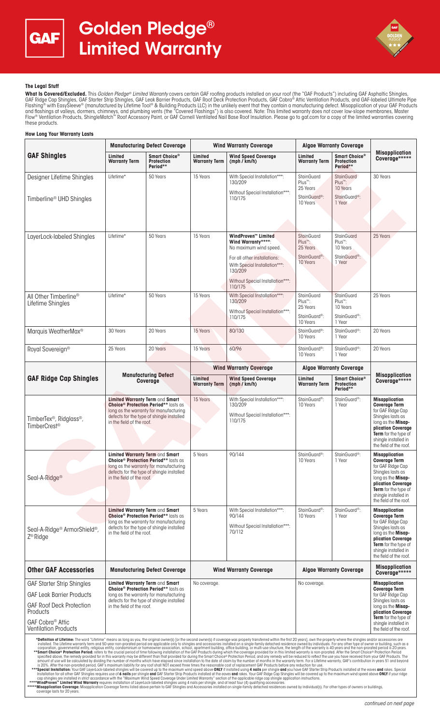



## **The Legal Stuff**

**What Is Covered/Excluded.** This *Golden Pledge® Limited Warranty* covers certain GAF roofing products installed on your roof (the "GAF Products") including GAF Asphaltic Shingles,<br>GAF Ridge Cap Shingles, GAF Starter Stri Flashing® with EasySleeve® (manufactured by Lifetime Tool® & Building Products LLC) in the unlikely event that they contain a manufacturing defect. Misapplication of your GAF Products and flashings at valleys, dormers, chimneys, and plumbing vents (the "Covered Flashings") is also covered. Note: This limited warranty does not cover low-slope membranes, Master<br>Flow® Ventilation Products, ShingleMatch™ Ro these products.

#### **How Long Your Warranty Lasts GAF Shingles Manufacturing Defect Coverage Wind Warranty Coverage Algae Warranty Coverage Misapplication Coverage\*\*\*\*\* Limited Wind Speed Coverage (mph / km/h) Warranty Term Smart Choice® Protection Period\*\* Limited Warranty Term Limited Warranty Term Smart Choice® Protection Period\*\*** Designer Lifetime Shingles Timberline® UHD Shingles Lifetime\* | 50 Years | 15 Years | With Special Installation\*\*\*: 130/209 Without Special Installation\*\*\*: 110/175 StainGuard Plus™: 25 Years StainGuard<sup>®</sup> 10 Years **StainGuard** Plus™: 10 Years StainGuard<sup>®</sup> 1 Year 30 Years LayerLock-labeled Shingles Lifetime<sup>\*</sup> 15 Years 155 Years **WindProven™ Limited** Wind Warranty\* No maximum wind speed. For all other installations: With Special Installation\*\*\*: 130/209 Without Special Installation\*\*\* 110/175 **StainGuard** Plus™: 25 Years StainGuard®: 10 Years **StainGuard** Plus™: 10 Years StainGuard®: 1 Year 25 Years All Other Timberline® Lifetime Shingles Lifetime\* 150 Years 15 Years 15 Years With Special Installation\*\*\* 130/209 Without Special Installation\*\*\* 110/175 **StainGuard** Plus™: 25 Years StainGuard®: 10 Years **StainGuard** Plus™: 10 Years StainGuard®: 1 Year 25 Years Marquis WeatherMax® 30 Years 20 Years 15 Years 80/130 StainGuard®: 10 Years StainGuard®: 1 Year 20 Years Royal Sovereign® 25 Years 20 Years 15 Years 60/96 StainGuard®: 10 Years StainGuard®: 1 Year 20 Years **GAF Ridge Cap Shingles Manufacturing Defect Coverage Wind Warranty Coverage Algae Warranty Coverage Misapplication Coverage\*\*\*\*\* Limited Wind Speed Coverage (mph / km/h) Warranty Term Limited Warranty Term Smart Choice® Protection Period\*\*** TimberTex®, Ridglass®, TimberCrest® **Limited Warranty Term** and **Smart Choice® Protection Period\*\*** lasts as **UNDER PRODUCED FOR A FIGURE 1989 AND THE UP TO A FIGURE 1999 AND THE UP TO A FIGURE 1999 AND THE UP TO A FIGURE 1999** defects for the type of shingle installed in the field of the roof. 15 Years With Special Installation\*\*\* 130/209 Without Special Installation\*\*\*: 110/175 StainGuard®: 10 Years StainGuard®: 1 Year **Misapplication Coverage Term**  for GAF Ridge Cap Shingles lasts as long as the **Misap-plication Coverage Term** for the type of<br>shingle installed in shingle install the field of the roof. Seal-A-Ridge® **Limited Warranty Term** and **Smart Choice® Protection Period\*\*** lasts as long as the warranty for manufacturing defects for the type of shingle installed in the field of the roof. 5 Years 90/144 StainGuard® 10 Years StainGuard®: 1 Year **Misapplication Coverage Term**  for GAF Ridge Cap Shingles lasts as long as the **Misapplication Coverage Term** for the type of shingle installed in the field of the roof. Seal-A-Ridge® ArmorShield®, Z® Ridge **Limited Warranty Term** and **Smart Choice® Protection Period\*\*** lasts as long as the warranty for manufacturing defects for the type of shingle installed in the field of the roof. 5 Years With Special Installation\*\*\*: 90/144 Without Special Installation\*\*\*: 70/112 StainGuard®: 10 Years StainGuard®: 1 Year **Misapplication Coverage Term**  for GAF Ridge Cap Shingles lasts as long as the **Misapplication Coverage Term** for the type of shingle installed in the field of the roof. **Other GAF Accessories** | Manufacturing Defect Coverage | Wind Warranty Coverage | Algae Warranty Coverage **Coverage\*\*\*\*\*** GAF Starter Strip Shingles GAF Leak Barrier Products GAF Roof Deck Protection **Products** GAF Cobra® Attic Ventilation Products **Limited Warranty Term** and **Smart Choice® Protection Period\*\*** lasts as long as the warranty for manufacturing defects for the type of shingle installed in the field of the roof. No coverage.<br> **No coverage Term in the Coverage Term in the Coverage Term in the Coverage Term Coverage Term** for GAF Ridge Cap Shingles lasts as long as the **Misapplication Coverage Term** for the type of shingle installed in the field of the roof. "Definition of Lifetime: The word "Lifetime" means as long as you, the original owners instlued on single-stanking means in studie of the second of the mean in the Markon The stanking means in the mean in the mean in the m Signal lifetime Strugges and the term of the strugges and the strugges of the term of the strugges of the strugges and the strugges of the strugges of the strugges of the strugges of the strugges of the strugges of the str